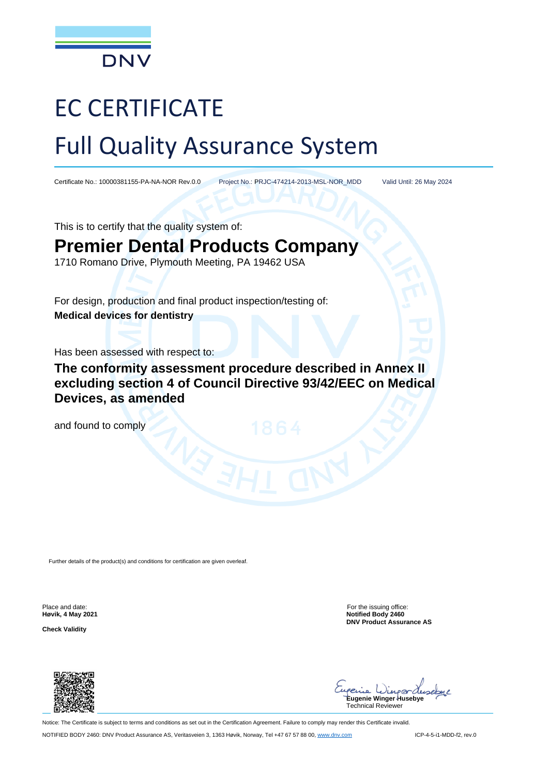

# EC CERTIFICATE Full Quality Assurance System

Certificate No.: 10000381155-PA-NA-NOR Rev.0.0 Project No.: PRJC-474214-2013-MSL-NOR\_MDD Valid Until: 26 May 2024

This is to certify that the quality system of:

# **Premier Dental Products Company**

1710 Romano Drive, Plymouth Meeting, PA 19462 USA

For design, production and final product inspection/testing of: **Medical devices for dentistry**

Has been assessed with respect to:

**The conformity assessment procedure described in Annex II excluding section 4 of Council Directive 93/42/EEC on Medical Devices, as amended** 

and found to comply

Further details of the product(s) and conditions for certification are given overleaf.

**Høvik, 4 May 2021**

**Check Validity**

Place and date: For the issuing office: For the issuing office: **Notified Body 2460 DNV Product Assurance AS**



Wingerde **Eugenie Winger Husebye** Technical Reviewer

Notice: The Certificate is subject to terms and conditions as set out in the Certification Agreement. Failure to comply may render this Certificate invalid. NOTIFIED BODY 2460: DNV Product Assurance AS, Veritasveien 3, 1363 Høvik, Norway, Tel +47 67 57 88 00[, www.dnv.com](http://www.dnv.com/) ICP-4-5-i1-MDD-f2, rev.0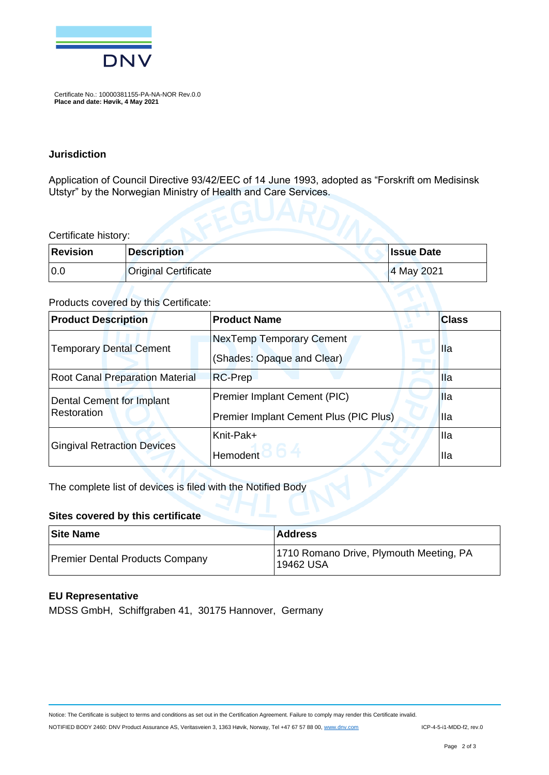

Certificate No.: 10000381155-PA-NA-NOR Rev.0.0 **Place and date: Høvik, 4 May 2021**

#### **Jurisdiction**

Application of Council Directive 93/42/EEC of 14 June 1993, adopted as "Forskrift om Medisinsk Utstyr" by the Norwegian Ministry of Health and Care Services.

#### Certificate history:

| <b>Revision</b> | <b>Description</b>          | <b>Issue Date</b> |
|-----------------|-----------------------------|-------------------|
| 0.0             | <b>Original Certificate</b> | 4 May 2021        |

#### Products covered by this Certificate:

| <b>Product Description</b>             | <b>Product Name</b>                    | <b>Class</b> |  |
|----------------------------------------|----------------------------------------|--------------|--|
| <b>Temporary Dental Cement</b>         | NexTemp Temporary Cement               | Ila          |  |
|                                        | (Shades: Opaque and Clear)             |              |  |
| <b>Root Canal Preparation Material</b> | <b>RC-Prep</b>                         | Ila          |  |
| <b>Dental Cement for Implant</b>       | Premier Implant Cement (PIC)           | <b>Ila</b>   |  |
| Restoration                            | Premier Implant Cement Plus (PIC Plus) | <b>Ila</b>   |  |
| <b>Gingival Retraction Devices</b>     | Knit-Pak+                              | <b>Ila</b>   |  |
|                                        | <b>Hemodent</b>                        | Ila          |  |

The complete list of devices is filed with the Notified Body

#### **Sites covered by this certificate**

| <b>Site Name</b>                | <b>Address</b>                                       |
|---------------------------------|------------------------------------------------------|
| Premier Dental Products Company | 1710 Romano Drive, Plymouth Meeting, PA<br>19462 USA |

#### **EU Representative**

MDSS GmbH, Schiffgraben 41, 30175 Hannover, Germany

Notice: The Certificate is subject to terms and conditions as set out in the Certification Agreement. Failure to comply may render this Certificate invalid.

NOTIFIED BODY 2460: DNV Product Assurance AS, Veritasveien 3, 1363 Høvik, Norway, Tel +47 67 57 88 00[, www.dnv.com](http://www.dnv.com/) ICP-4-5-i1-MDD-f2, rev.0